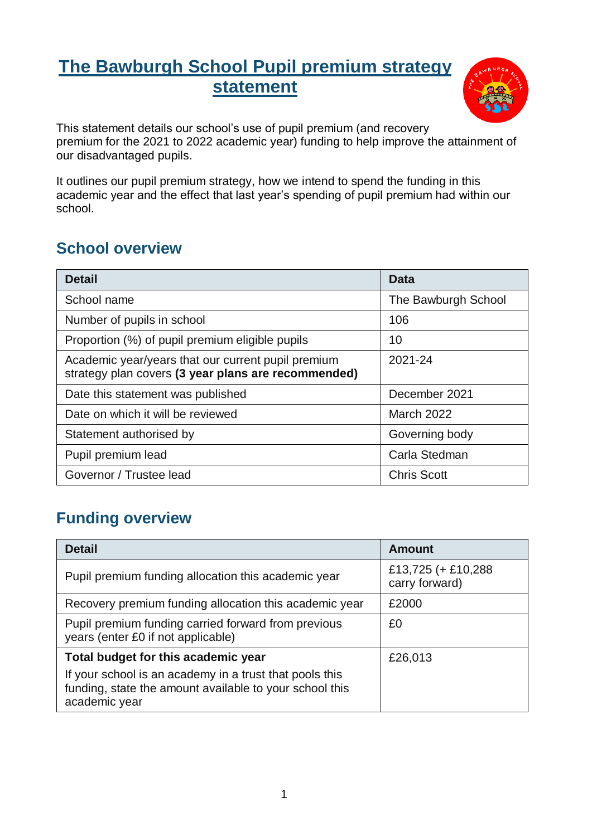# **The Bawburgh School Pupil premium strategy statement**



This statement details our school's use of pupil premium (and recovery premium for the 2021 to 2022 academic year) funding to help improve the attainment of our disadvantaged pupils.

It outlines our pupil premium strategy, how we intend to spend the funding in this academic year and the effect that last year's spending of pupil premium had within our school.

## **School overview**

| <b>Detail</b>                                                                                             | Data                |
|-----------------------------------------------------------------------------------------------------------|---------------------|
| School name                                                                                               | The Bawburgh School |
| Number of pupils in school                                                                                | 106                 |
| Proportion (%) of pupil premium eligible pupils                                                           | 10                  |
| Academic year/years that our current pupil premium<br>strategy plan covers (3 year plans are recommended) | 2021-24             |
| Date this statement was published                                                                         | December 2021       |
| Date on which it will be reviewed                                                                         | <b>March 2022</b>   |
| Statement authorised by                                                                                   | Governing body      |
| Pupil premium lead                                                                                        | Carla Stedman       |
| Governor / Trustee lead                                                                                   | <b>Chris Scott</b>  |

# **Funding overview**

| <b>Detail</b>                                                                                                                       | <b>Amount</b>                        |
|-------------------------------------------------------------------------------------------------------------------------------------|--------------------------------------|
| Pupil premium funding allocation this academic year                                                                                 | £13,725 (+ £10,288<br>carry forward) |
| Recovery premium funding allocation this academic year                                                                              | £2000                                |
| Pupil premium funding carried forward from previous<br>years (enter £0 if not applicable)                                           | £0                                   |
| Total budget for this academic year                                                                                                 | £26,013                              |
| If your school is an academy in a trust that pools this<br>funding, state the amount available to your school this<br>academic year |                                      |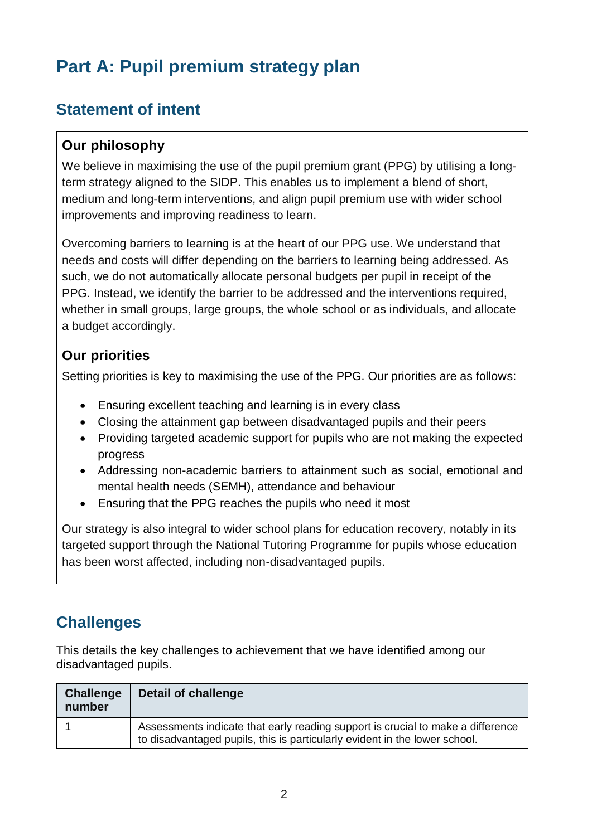# **Part A: Pupil premium strategy plan**

## **Statement of intent**

#### **Our philosophy**

We believe in maximising the use of the pupil premium grant (PPG) by utilising a longterm strategy aligned to the SIDP. This enables us to implement a blend of short, medium and long-term interventions, and align pupil premium use with wider school improvements and improving readiness to learn.

Overcoming barriers to learning is at the heart of our PPG use. We understand that needs and costs will differ depending on the barriers to learning being addressed. As such, we do not automatically allocate personal budgets per pupil in receipt of the PPG. Instead, we identify the barrier to be addressed and the interventions required, whether in small groups, large groups, the whole school or as individuals, and allocate a budget accordingly.

#### **Our priorities**

Setting priorities is key to maximising the use of the PPG. Our priorities are as follows:

- Ensuring excellent teaching and learning is in every class
- Closing the attainment gap between disadvantaged pupils and their peers
- Providing targeted academic support for pupils who are not making the expected progress
- Addressing non-academic barriers to attainment such as social, emotional and mental health needs (SEMH), attendance and behaviour
- Ensuring that the PPG reaches the pupils who need it most

Our strategy is also integral to wider school plans for education recovery, notably in its targeted support through the National Tutoring Programme for pupils whose education has been worst affected, including non-disadvantaged pupils.

# **Challenges**

This details the key challenges to achievement that we have identified among our disadvantaged pupils.

| <b>Challenge</b><br>number | Detail of challenge                                                                                                                                           |
|----------------------------|---------------------------------------------------------------------------------------------------------------------------------------------------------------|
|                            | Assessments indicate that early reading support is crucial to make a difference<br>to disadvantaged pupils, this is particularly evident in the lower school. |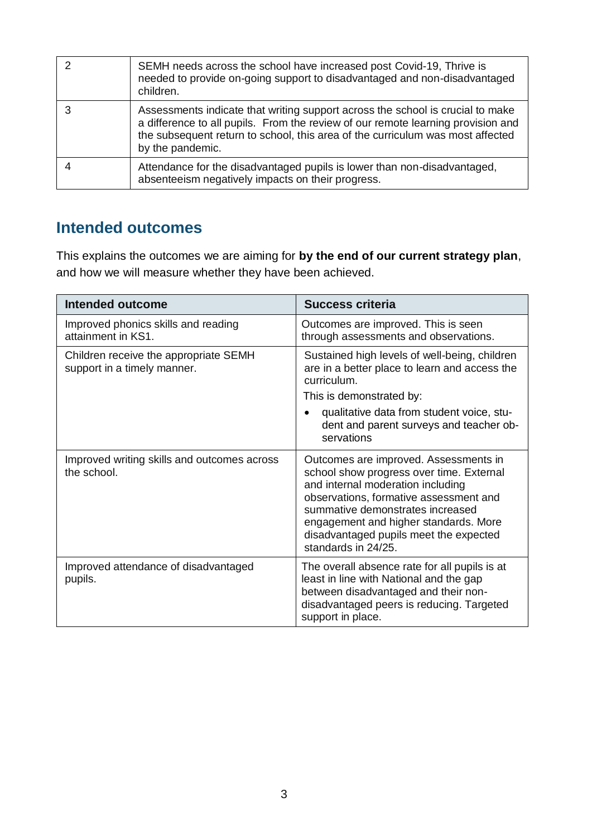| SEMH needs across the school have increased post Covid-19, Thrive is<br>needed to provide on-going support to disadvantaged and non-disadvantaged<br>children.                                                                                                           |
|--------------------------------------------------------------------------------------------------------------------------------------------------------------------------------------------------------------------------------------------------------------------------|
| Assessments indicate that writing support across the school is crucial to make<br>a difference to all pupils. From the review of our remote learning provision and<br>the subsequent return to school, this area of the curriculum was most affected<br>by the pandemic. |
| Attendance for the disadvantaged pupils is lower than non-disadvantaged,<br>absenteeism negatively impacts on their progress.                                                                                                                                            |

### **Intended outcomes**

This explains the outcomes we are aiming for **by the end of our current strategy plan**, and how we will measure whether they have been achieved.

| <b>Intended outcome</b>                                              | <b>Success criteria</b>                                                                                                                                                                                                                                                                                        |
|----------------------------------------------------------------------|----------------------------------------------------------------------------------------------------------------------------------------------------------------------------------------------------------------------------------------------------------------------------------------------------------------|
| Improved phonics skills and reading<br>attainment in KS1.            | Outcomes are improved. This is seen<br>through assessments and observations.                                                                                                                                                                                                                                   |
| Children receive the appropriate SEMH<br>support in a timely manner. | Sustained high levels of well-being, children<br>are in a better place to learn and access the<br>curriculum.<br>This is demonstrated by:<br>qualitative data from student voice, stu-<br>dent and parent surveys and teacher ob-<br>servations                                                                |
| Improved writing skills and outcomes across<br>the school.           | Outcomes are improved. Assessments in<br>school show progress over time. External<br>and internal moderation including<br>observations, formative assessment and<br>summative demonstrates increased<br>engagement and higher standards. More<br>disadvantaged pupils meet the expected<br>standards in 24/25. |
| Improved attendance of disadvantaged<br>pupils.                      | The overall absence rate for all pupils is at<br>least in line with National and the gap<br>between disadvantaged and their non-<br>disadvantaged peers is reducing. Targeted<br>support in place.                                                                                                             |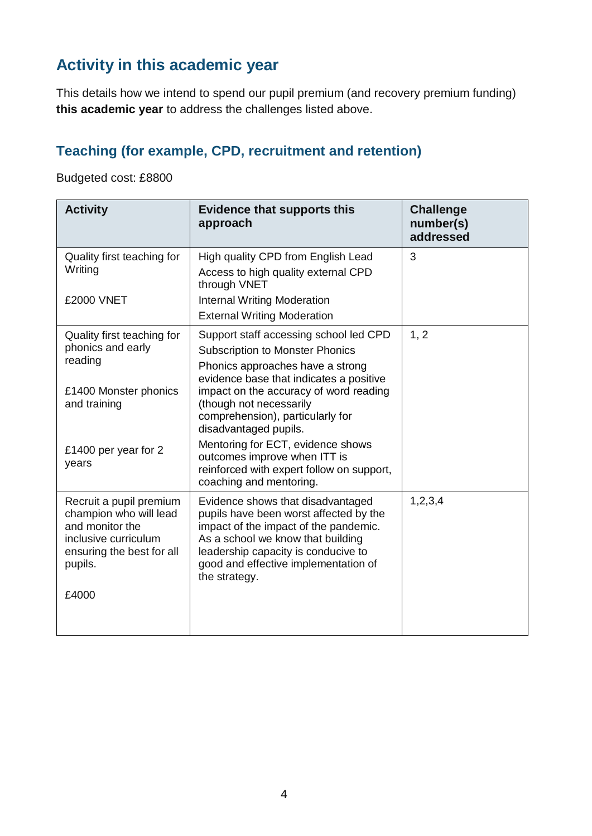# **Activity in this academic year**

This details how we intend to spend our pupil premium (and recovery premium funding) **this academic year** to address the challenges listed above.

### **Teaching (for example, CPD, recruitment and retention)**

Budgeted cost: £8800

| <b>Activity</b>                                                                                                                      | <b>Evidence that supports this</b><br>approach                                                                                                                                                                                                            | <b>Challenge</b><br>number(s)<br>addressed |
|--------------------------------------------------------------------------------------------------------------------------------------|-----------------------------------------------------------------------------------------------------------------------------------------------------------------------------------------------------------------------------------------------------------|--------------------------------------------|
| Quality first teaching for<br>Writing                                                                                                | High quality CPD from English Lead<br>Access to high quality external CPD<br>through VNET                                                                                                                                                                 | 3                                          |
| £2000 VNET                                                                                                                           | <b>Internal Writing Moderation</b><br><b>External Writing Moderation</b>                                                                                                                                                                                  |                                            |
| Quality first teaching for<br>phonics and early<br>reading<br>£1400 Monster phonics                                                  | Support staff accessing school led CPD<br><b>Subscription to Monster Phonics</b><br>Phonics approaches have a strong<br>evidence base that indicates a positive<br>impact on the accuracy of word reading                                                 | 1, 2                                       |
| and training                                                                                                                         | (though not necessarily<br>comprehension), particularly for<br>disadvantaged pupils.                                                                                                                                                                      |                                            |
| £1400 per year for 2<br>years                                                                                                        | Mentoring for ECT, evidence shows<br>outcomes improve when ITT is<br>reinforced with expert follow on support,<br>coaching and mentoring.                                                                                                                 |                                            |
| Recruit a pupil premium<br>champion who will lead<br>and monitor the<br>inclusive curriculum<br>ensuring the best for all<br>pupils. | Evidence shows that disadvantaged<br>pupils have been worst affected by the<br>impact of the impact of the pandemic.<br>As a school we know that building<br>leadership capacity is conducive to<br>good and effective implementation of<br>the strategy. | 1, 2, 3, 4                                 |
| £4000                                                                                                                                |                                                                                                                                                                                                                                                           |                                            |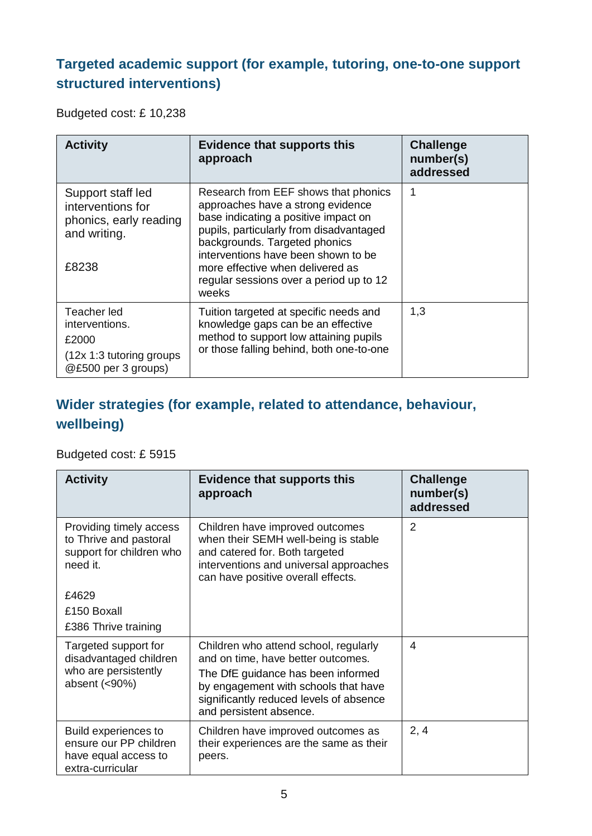### **Targeted academic support (for example, tutoring, one-to-one support structured interventions)**

Budgeted cost: £ 10,238

| <b>Activity</b>                                                                            | <b>Evidence that supports this</b><br>approach                                                                                                                                                                                                                                                                               | <b>Challenge</b><br>number(s)<br>addressed |
|--------------------------------------------------------------------------------------------|------------------------------------------------------------------------------------------------------------------------------------------------------------------------------------------------------------------------------------------------------------------------------------------------------------------------------|--------------------------------------------|
| Support staff led<br>interventions for<br>phonics, early reading<br>and writing.<br>£8238  | Research from EEF shows that phonics<br>approaches have a strong evidence<br>base indicating a positive impact on<br>pupils, particularly from disadvantaged<br>backgrounds. Targeted phonics<br>interventions have been shown to be<br>more effective when delivered as<br>regular sessions over a period up to 12<br>weeks | 1                                          |
| Teacher led<br>interventions.<br>£2000<br>(12x 1:3 tutoring groups)<br>@£500 per 3 groups) | Tuition targeted at specific needs and<br>knowledge gaps can be an effective<br>method to support low attaining pupils<br>or those falling behind, both one-to-one                                                                                                                                                           | 1,3                                        |

### **Wider strategies (for example, related to attendance, behaviour, wellbeing)**

#### Budgeted cost: £ 5915

| <b>Activity</b>                                                                             | <b>Evidence that supports this</b><br>approach                                                                                                                                                                                  | <b>Challenge</b><br>number(s)<br>addressed |
|---------------------------------------------------------------------------------------------|---------------------------------------------------------------------------------------------------------------------------------------------------------------------------------------------------------------------------------|--------------------------------------------|
| Providing timely access<br>to Thrive and pastoral<br>support for children who<br>need it.   | Children have improved outcomes<br>when their SEMH well-being is stable<br>and catered for. Both targeted<br>interventions and universal approaches<br>can have positive overall effects.                                       | 2                                          |
| £4629                                                                                       |                                                                                                                                                                                                                                 |                                            |
| £150 Boxall                                                                                 |                                                                                                                                                                                                                                 |                                            |
| £386 Thrive training                                                                        |                                                                                                                                                                                                                                 |                                            |
| Targeted support for<br>disadvantaged children<br>who are persistently<br>absent $(<,90\%)$ | Children who attend school, regularly<br>and on time, have better outcomes.<br>The DfE guidance has been informed<br>by engagement with schools that have<br>significantly reduced levels of absence<br>and persistent absence. | 4                                          |
| Build experiences to<br>ensure our PP children<br>have equal access to<br>extra-curricular  | Children have improved outcomes as<br>their experiences are the same as their<br>peers.                                                                                                                                         | 2, 4                                       |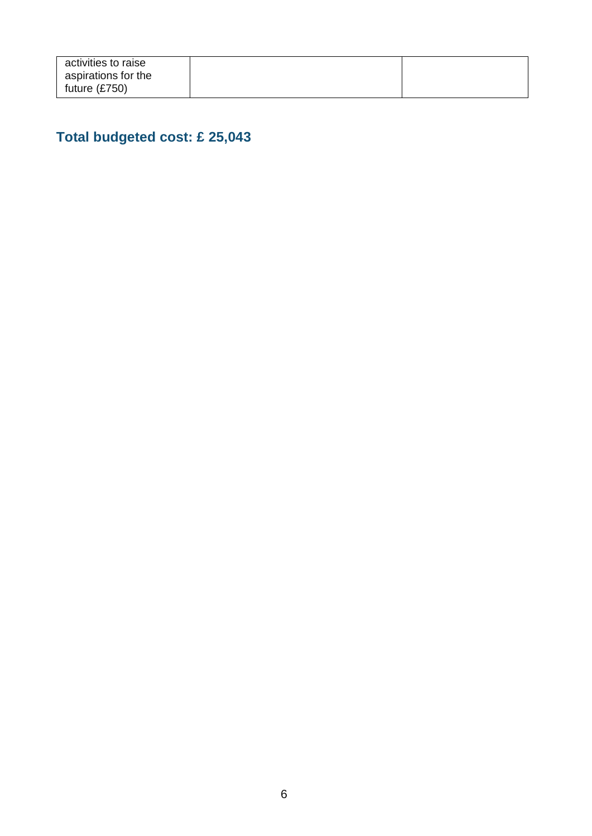| activities to raise |  |
|---------------------|--|
| aspirations for the |  |
| future (£750)       |  |
|                     |  |

## **Total budgeted cost: £ 25,043**